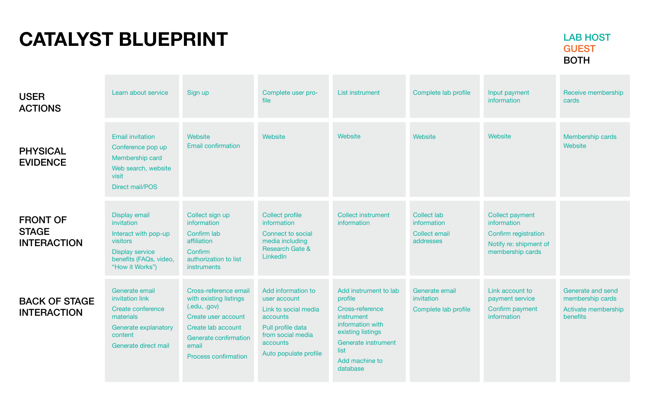## **CATALYST BLUEPRINT**

Membership cards **Website** 

Receive membership cards

#### **Website**

Generate and send membership cards Activate membership benefits

| <b>USER</b><br><b>ACTIONS</b>                         | Learn about service                                                                                                                    | Sign up                                                                                                                                                                       | Complete user pro-<br>file                                                                                                                            | List instrument                                                                                                                                                         | Complete lab profile                                                   |
|-------------------------------------------------------|----------------------------------------------------------------------------------------------------------------------------------------|-------------------------------------------------------------------------------------------------------------------------------------------------------------------------------|-------------------------------------------------------------------------------------------------------------------------------------------------------|-------------------------------------------------------------------------------------------------------------------------------------------------------------------------|------------------------------------------------------------------------|
| <b>PHYSICAL</b><br><b>EVIDENCE</b>                    | <b>Email invitation</b><br>Conference pop up<br>Membership card<br>Web search, website<br>visit<br><b>Direct mail/POS</b>              | Website<br><b>Email confirmation</b>                                                                                                                                          | Website                                                                                                                                               | Website                                                                                                                                                                 | Website                                                                |
| <b>FRONT OF</b><br><b>STAGE</b><br><b>INTERACTION</b> | Display email<br>invitation<br>Interact with pop-up<br>visitors<br><b>Display service</b><br>benefits (FAQs, video,<br>"How it Works") | Collect sign up<br>information<br>Confirm lab<br>affiliation<br>Confirm<br>authorization to list<br>instruments                                                               | <b>Collect profile</b><br>information<br><b>Connect to social</b><br>media including<br><b>Research Gate &amp;</b><br>LinkedIn                        | <b>Collect instrument</b><br>information                                                                                                                                | <b>Collect lab</b><br>information<br><b>Collect email</b><br>addresses |
| <b>BACK OF STAGE</b><br><b>INTERACTION</b>            | Generate email<br>invitation link<br>Create conference<br>materials<br>Generate explanatory<br>content<br>Generate direct mail         | Cross-reference email<br>with existing listings<br>(ccdot, gov)<br>Create user account<br>Create lab account<br>Generate confirmation<br>email<br><b>Process confirmation</b> | Add information to<br>user account<br>Link to social media<br>accounts<br>Pull profile data<br>from social media<br>accounts<br>Auto populate profile | Add instrument to lab<br>profile<br>Cross-reference<br>instrument<br>information with<br>existing listings<br>Generate instrument<br>list<br>Add machine to<br>database | Generate email<br>invitation<br>Complete lab profile                   |

#### Input payment information

Collect payment information Confirm registration Notify re: shipment of membership cards

Link account to payment service Confirm payment information

### LAB HOST GUEST BOTH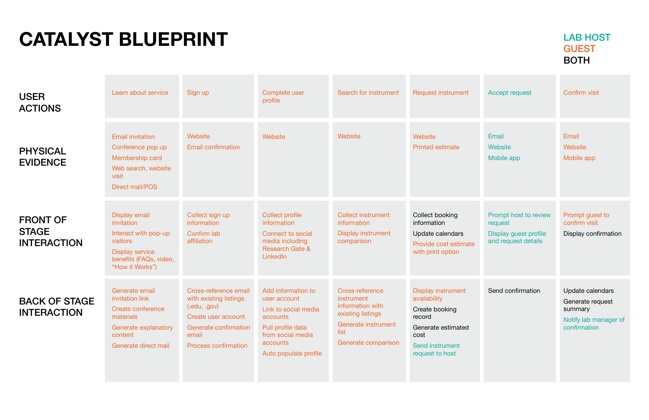**Email Website** Mobile app Confirm visit

Email **Website** Mobile app

Update calendars

Generate request summary

Notify lab manager of confirmation

| <b>USER</b><br><b>ACTIONS</b>                         | Learn about service                                                                                                                    | Sign up                                                                                                                                                 | Complete user<br>profile                                                                                                                              | Search for instrument                                                                                                        | <b>Request instrument</b>                                                                                                                 |
|-------------------------------------------------------|----------------------------------------------------------------------------------------------------------------------------------------|---------------------------------------------------------------------------------------------------------------------------------------------------------|-------------------------------------------------------------------------------------------------------------------------------------------------------|------------------------------------------------------------------------------------------------------------------------------|-------------------------------------------------------------------------------------------------------------------------------------------|
| <b>PHYSICAL</b><br><b>EVIDENCE</b>                    | <b>Email invitation</b><br>Conference pop up<br>Membership card<br>Web search, website<br>visit<br><b>Direct mail/POS</b>              | Website<br><b>Email confirmation</b>                                                                                                                    | Website                                                                                                                                               | Website                                                                                                                      | Website<br><b>Printed estimate</b>                                                                                                        |
| <b>FRONT OF</b><br><b>STAGE</b><br><b>INTERACTION</b> | Display email<br>invitation<br>Interact with pop-up<br>visitors<br><b>Display service</b><br>benefits (FAQs, video,<br>"How it Works") | Collect sign up<br>information<br>Confirm lab<br>affiliation                                                                                            | <b>Collect profile</b><br>information<br>Connect to social<br>media including<br><b>Research Gate &amp;</b><br>LinkedIn                               | <b>Collect instrument</b><br>information<br><b>Display instrument</b><br>comparison                                          | Collect booking<br>information<br>Update calendars<br>Provide cost estimate<br>with print option                                          |
| <b>BACK OF STAGE</b><br><b>INTERACTION</b>            | Generate email<br>invitation link<br><b>Create conference</b><br>materials<br>Generate explanatory<br>content<br>Generate direct mail  | Cross-reference email<br>with existing listings<br>(.edu, .gov)<br>Create user account<br>Generate confirmation<br>email<br><b>Process confirmation</b> | Add information to<br>user account<br>Link to social media<br>accounts<br>Pull profile data<br>from social media<br>accounts<br>Auto populate profile | Cross-reference<br>instrument<br>information with<br>existing listings<br>Generate instrument<br>list<br>Generate comparison | <b>Display instrument</b><br>availability<br>Create booking<br>record<br>Generate estimated<br>cost<br>Send instrument<br>request to host |

# Accept request

Prompt host to review request

Display guest profile and request details

Prompt guest to confirm visit

Display confirmation

Send confirmation

### LAB HOST GUEST BOTH

# **CATALYST BLUEPRINT**